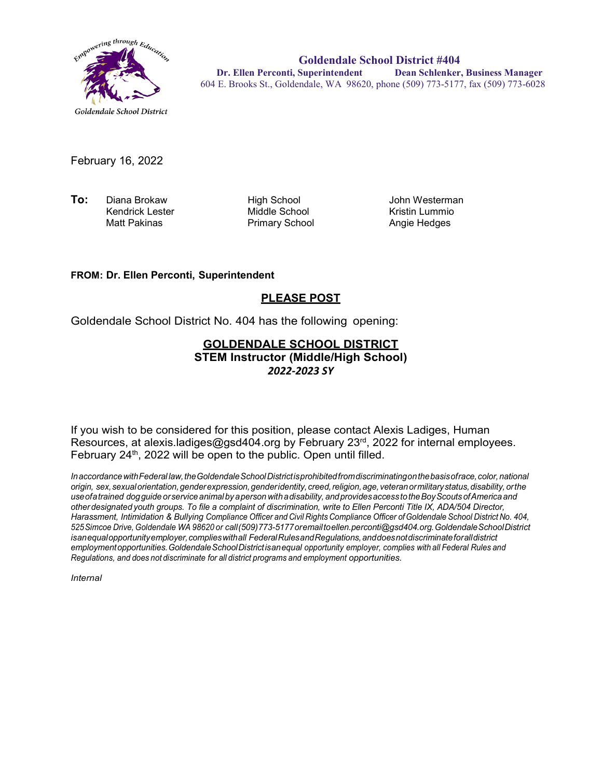

**Goldendale School District #404 Dr. Ellen Perconti, Superintendent Dean Schlenker, Business Manager** 604 E. Brooks St., Goldendale, WA 98620, phone (509) 773-5177, fax (509) 773-6028

February 16, 2022

**To:** Diana Brokaw High School John Westerman Kendrick Lester Middle School Kristin Lummio

Primary School

#### **FROM: Dr. Ellen Perconti, Superintendent**

### **PLEASE POST**

Goldendale School District No. 404 has the following opening:

#### **GOLDENDALE SCHOOL DISTRICT STEM Instructor (Middle/High School)** *2022-2023 SY*

If you wish to be considered for this position, please contact Alexis Ladiges, Human Resources, at alexis.ladiges@gsd404.org by February 23<sup>rd</sup>, 2022 for internal employees. February  $24<sup>th</sup>$ , 2022 will be open to the public. Open until filled.

*InaccordancewithFederal law,theGoldendaleSchoolDistrictisprohibitedfromdiscriminatingonthebasisofrace,color,national origin, sex,sexualorientation,genderexpression,genderidentity, creed,religion,age, veteranormilitarystatus,disability, orthe useofatrained dogguide orservice animal by aperson withadisability, andprovidesaccess totheBoyScouts ofAmerica and other designated youth groups. To file a complaint of discrimination, write to Ellen Perconti Title IX, ADA/504 Director, Harassment, Intimidation & Bullying Compliance Officer and Civil Rights Compliance Officer ofGoldendale School District No. 404, 525Simcoe Drive, Goldendale WA 98620 or call(509)773-5177oremailt[oellen.perconti@gsd404.org.G](mailto:ellen.perconti@gsd404.org)oldendaleSchoolDistrict isanequalopportunityemployer,complieswithall FederalRulesandRegulations,anddoesnotdiscriminateforalldistrict employmentopportunities.GoldendaleSchoolDistrictisanequal opportunity employer, complies with all Federal Rules and Regulations, and does not discriminate for all district programs and employment opportunities.*

*Internal*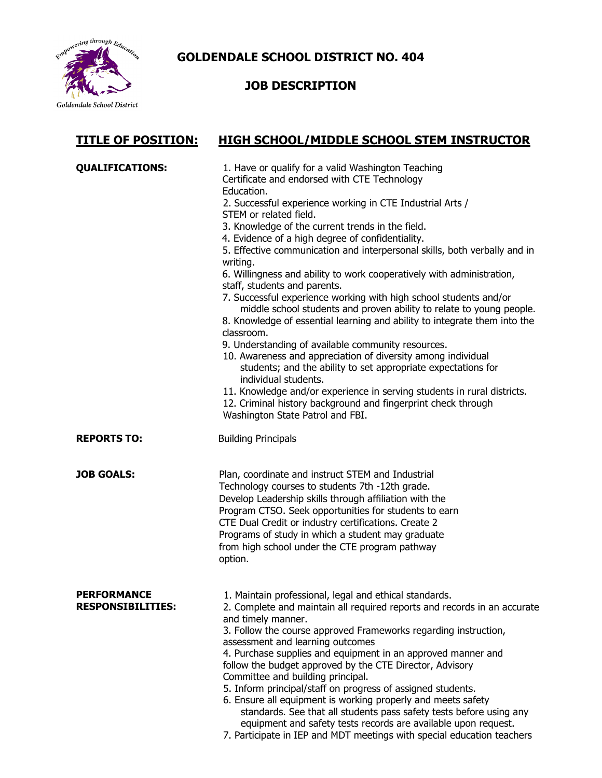

**GOLDENDALE SCHOOL DISTRICT NO. 404**

# **JOB DESCRIPTION**

## **TITLE OF POSITION: HIGH SCHOOL/MIDDLE SCHOOL STEM INSTRUCTOR**

| <b>QUALIFICATIONS:</b>                  | 1. Have or qualify for a valid Washington Teaching<br>Certificate and endorsed with CTE Technology<br>Education.<br>2. Successful experience working in CTE Industrial Arts /                                                                                                                                                                                                                                                                                                                                                                                                                                                                                                                                                                                                      |
|-----------------------------------------|------------------------------------------------------------------------------------------------------------------------------------------------------------------------------------------------------------------------------------------------------------------------------------------------------------------------------------------------------------------------------------------------------------------------------------------------------------------------------------------------------------------------------------------------------------------------------------------------------------------------------------------------------------------------------------------------------------------------------------------------------------------------------------|
|                                         | STEM or related field.                                                                                                                                                                                                                                                                                                                                                                                                                                                                                                                                                                                                                                                                                                                                                             |
|                                         | 3. Knowledge of the current trends in the field.<br>4. Evidence of a high degree of confidentiality.                                                                                                                                                                                                                                                                                                                                                                                                                                                                                                                                                                                                                                                                               |
|                                         | 5. Effective communication and interpersonal skills, both verbally and in<br>writing.                                                                                                                                                                                                                                                                                                                                                                                                                                                                                                                                                                                                                                                                                              |
|                                         | 6. Willingness and ability to work cooperatively with administration,<br>staff, students and parents.                                                                                                                                                                                                                                                                                                                                                                                                                                                                                                                                                                                                                                                                              |
|                                         | 7. Successful experience working with high school students and/or<br>middle school students and proven ability to relate to young people.                                                                                                                                                                                                                                                                                                                                                                                                                                                                                                                                                                                                                                          |
|                                         | 8. Knowledge of essential learning and ability to integrate them into the<br>classroom.                                                                                                                                                                                                                                                                                                                                                                                                                                                                                                                                                                                                                                                                                            |
|                                         | 9. Understanding of available community resources.                                                                                                                                                                                                                                                                                                                                                                                                                                                                                                                                                                                                                                                                                                                                 |
|                                         | 10. Awareness and appreciation of diversity among individual<br>students; and the ability to set appropriate expectations for<br>individual students.                                                                                                                                                                                                                                                                                                                                                                                                                                                                                                                                                                                                                              |
|                                         | 11. Knowledge and/or experience in serving students in rural districts.<br>12. Criminal history background and fingerprint check through<br>Washington State Patrol and FBI.                                                                                                                                                                                                                                                                                                                                                                                                                                                                                                                                                                                                       |
| <b>REPORTS TO:</b>                      | <b>Building Principals</b>                                                                                                                                                                                                                                                                                                                                                                                                                                                                                                                                                                                                                                                                                                                                                         |
| <b>JOB GOALS:</b>                       | Plan, coordinate and instruct STEM and Industrial<br>Technology courses to students 7th -12th grade.<br>Develop Leadership skills through affiliation with the<br>Program CTSO. Seek opportunities for students to earn<br>CTE Dual Credit or industry certifications. Create 2<br>Programs of study in which a student may graduate<br>from high school under the CTE program pathway<br>option.                                                                                                                                                                                                                                                                                                                                                                                  |
| PFRFORMANCF<br><b>RESPONSIBILITIES:</b> | 1. Maintain professional, legal and ethical standards.<br>2. Complete and maintain all required reports and records in an accurate<br>and timely manner.<br>3. Follow the course approved Frameworks regarding instruction,<br>assessment and learning outcomes<br>4. Purchase supplies and equipment in an approved manner and<br>follow the budget approved by the CTE Director, Advisory<br>Committee and building principal.<br>5. Inform principal/staff on progress of assigned students.<br>6. Ensure all equipment is working properly and meets safety<br>standards. See that all students pass safety tests before using any<br>equipment and safety tests records are available upon request.<br>7. Participate in IEP and MDT meetings with special education teachers |